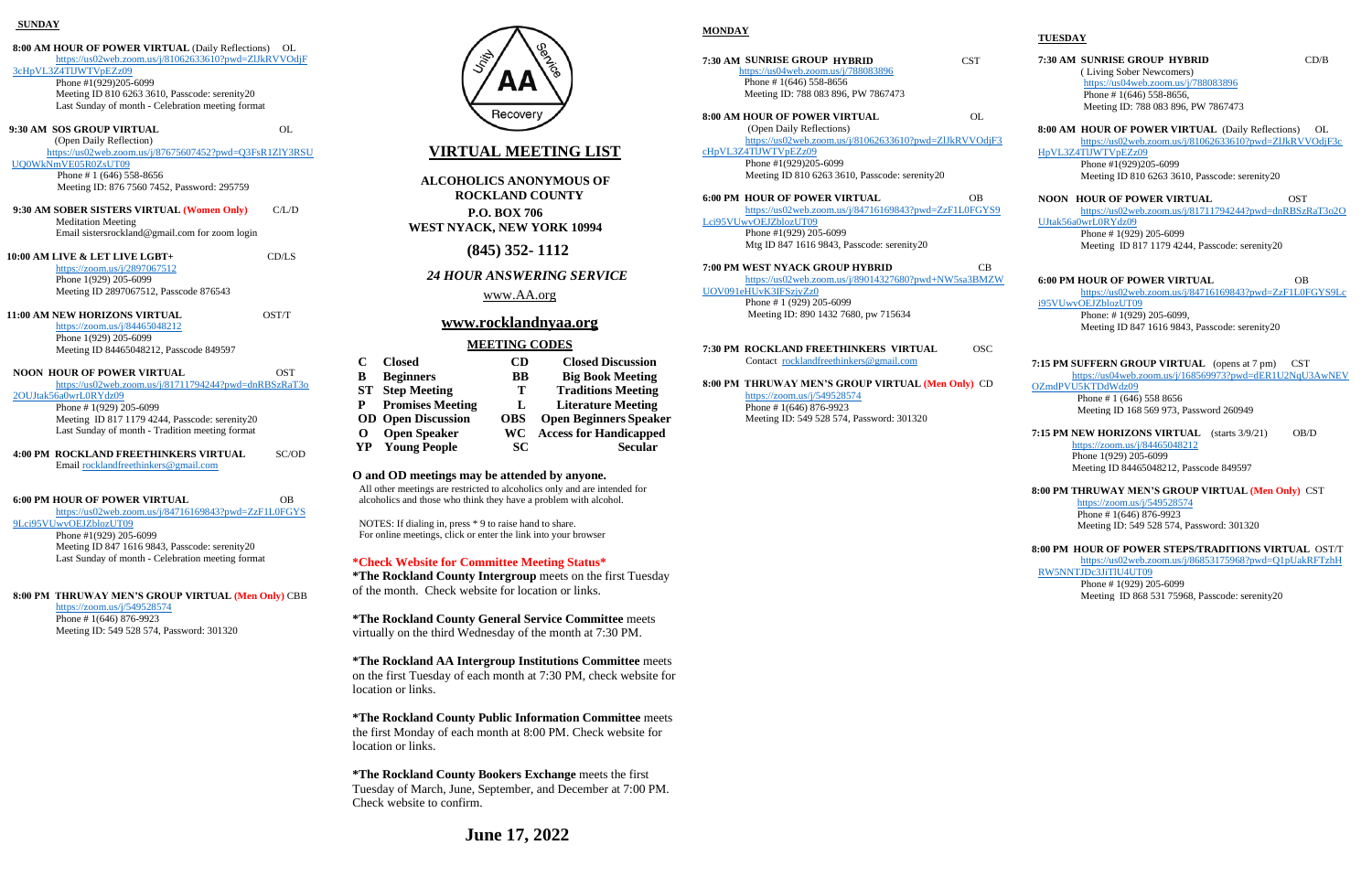| <b>SUNDAY</b>                                           |       |
|---------------------------------------------------------|-------|
| 8:00 AM HOUR OF POWER VIRTUAL (Daily Reflections)       | OL    |
| https://us02web.zoom.us/j/81062633610?pwd=ZIJkRVVOdjF   |       |
| 3cHpVL3Z4TlJWTVpEZz09                                   |       |
| Phone #1(929)205-6099                                   |       |
| Meeting ID 810 6263 3610, Passcode: serenity20          |       |
| Last Sunday of month - Celebration meeting format       |       |
| 9:30 AM SOS GROUP VIRTUAL                               | OL    |
| (Open Daily Reflection)                                 |       |
| https://us02web.zoom.us/j/87675607452?pwd=Q3FsR1ZIY3RSU |       |
| UQ0WkNmVE05R0ZsUT09                                     |       |
| Phone #1 $(646)$ 558-8656                               |       |
| Meeting ID: 876 7560 7452, Password: 295759             |       |
| 9:30 AM SOBER SISTERS VIRTUAL (Women Only)              | C/L/D |
| <b>Meditation Meeting</b>                               |       |
| Email sistersrockland@gmail.com for zoom login          |       |
| 10:00 AM LIVE & LET LIVE LGBT+                          | CD/LS |
| https://zoom.us/j/2897067512                            |       |
| Phone 1(929) 205-6099                                   |       |
| Meeting ID 2897067512, Passcode 876543                  |       |
| <b>11:00 AM NEW HORIZONS VIRTUAL</b>                    | OST/T |
| https://zoom.us/j/84465048212                           |       |
| Phone 1(929) 205-6099                                   |       |
| Meeting ID 84465048212, Passcode 849597                 |       |
| <b>NOON HOUR OF POWER VIRTUAL</b>                       | OST   |
| https://us02web.zoom.us/j/81711794244?pwd=dnRBSzRaT3o   |       |
| 2OUJtak56a0wrL0RYdz09                                   |       |
| Phone #1(929) 205-6099                                  |       |
| Meeting ID 817 1179 4244, Passcode: serenity20          |       |
| Last Sunday of month - Tradition meeting format         |       |
| <b>4:00 PM ROCKLAND FREETHINKERS VIRTUAL</b>            | SC/OD |
|                                                         |       |
| Email rocklandfreethinkers@gmail.com                    |       |
|                                                         |       |
| <b>6:00 PM HOUR OF POWER VIRTUAL</b>                    | ΩB    |
| https://us02web.zoom.us/j/84716169843?pwd=ZzF1L0FGYS    |       |
| 9Lci95VUwvOEJZblozUT09                                  |       |
| Phone #1(929) 205-6099                                  |       |
| Meeting ID 847 1616 9843, Passcode: serenity20          |       |

Last Sunday of month - Celebration meeting format

#### **8:00 PM THRUWAY MEN'S GROUP VIRTUAL (Men Only)** CBB

<https://zoom.us/j/549528574> Phone # 1(646) 876-9923 Meeting ID: 549 528 574, Password: 301320



# **VIRTUAL MEETING LIST**

**ALCOHOLICS ANONYMOUS OF ROCKLAND COUNTY P.O. BOX 706**

**WEST NYACK, NEW YORK 10994** 

**(845) 352- 1112**

*24 HOUR A***N***SWERI***N***G SERVICE*

[www.AA.org](http://www.aa.org/)

## **[www.rocklandnyaa.org](http://www.rocklandnyaa.org/)**

## **MEETING CODES**

| C        | <b>Closed</b>             | CD         | <b>Closed Discussion</b>      |
|----------|---------------------------|------------|-------------------------------|
| B        | <b>Beginners</b>          | <b>BB</b>  | <b>Big Book Meeting</b>       |
|          | <b>ST</b> Step Meeting    | т          | <b>Traditions Meeting</b>     |
| P.       | <b>Promises Meeting</b>   | L          | <b>Literature Meeting</b>     |
|          | <b>OD</b> Open Discussion | <b>OBS</b> | <b>Open Beginners Speaker</b> |
| $\Omega$ | <b>Open Speaker</b>       | WC.        | <b>Access for Handicapped</b> |
| YP.      | <b>Young People</b>       | SC.        | <b>Secular</b>                |

#### **O and OD meetings may be attended by anyone.**

All other meetings are restricted to alcoholics only and are intended for alcoholics and those who think they have a problem with alcohol.

NOTES: If dialing in, press \* 9 to raise hand to share. For online meetings, click or enter the link into your browser

## **\*Check Website for Committee Meeting Status\***

**\*The Rockland County Intergroup** meets on the first Tuesday of the month. Check website for location or links.

**\*The Rockland County General Service Committee** meets virtually on the third Wednesday of the month at 7:30 PM.

**\*The Rockland AA Intergroup Institutions Committee** meets on the first Tuesday of each month at 7:30 PM, check website for location or links.

**\*The Rockland County Public Information Committee** meets the first Monday of each month at 8:00 PM. Check website for location or links.

**\*The Rockland County Bookers Exchange** meets the first Tuesday of March, June, September, and December at 7:00 PM. Check website to confirm.

## **MONDAY**

**7:30 AM SUNRISE GROUP HYBRID** CST <https://us04web.zoom.us/j/788083896> Phone # 1(646) 558-8656 Meeting ID: 788 083 896, PW 7867473

**8:00 AM HOUR OF POWER VIRTUAL** OL (Open Daily Reflections)

[https://us02web.zoom.us/j/81062633610?pwd=ZlJkRVVOdjF3](https://us02web.zoom.us/j/81062633610?pwd=ZlJkRVVOdjF3cHpVL3Z4TlJWTVpEZz09)

[cHpVL3Z4TlJWTVpEZz09](https://us02web.zoom.us/j/81062633610?pwd=ZlJkRVVOdjF3cHpVL3Z4TlJWTVpEZz09) Phone #1(929)205-6099 Meeting ID 810 6263 3610, Passcode: serenity20

#### **6:00 PM HOUR OF POWER VIRTUAL** OB

[https://us02web.zoom.us/j/84716169843?pwd=ZzF1L0FGYS9](https://us02web.zoom.us/j/84716169843?pwd=ZzF1L0FGYS9Lci95VUwvOEJZblozUT09) [Lci95VUwvOEJZblozUT09](https://us02web.zoom.us/j/84716169843?pwd=ZzF1L0FGYS9Lci95VUwvOEJZblozUT09) Phone #1(929) 205-6099

Mtg ID 847 1616 9843, Passcode: serenity20

## **7:00 PM WEST NYACK GROUP HYBRID** CB

[https://us02web.zoom.us/j/89014327680?pwd+NW5sa3BMZW](https://us02web.zoom.us/j/89014327680?pwd+NW5sa3BMZWUOV091eHUvK3IFSzjyZz0) [UOV091eHUvK3IFSzjyZz0](https://us02web.zoom.us/j/89014327680?pwd+NW5sa3BMZWUOV091eHUvK3IFSzjyZz0) Phone # 1 (929) 205-6099 Meeting ID: 890 1432 7680, pw 715634

**7:30 PM ROCKLAND FREETHINKERS VIRTUAL** OSC Contact [rocklandfreethinkers@gmail.com](mailto:rocklandfreethinkers@gmail.com)

#### **8:00 PM THRUWAY MEN'S GROUP VIRTUAL (Men Only)** CD

<https://zoom.us/j/549528574> Phone # 1(646) 876-9923 Meeting ID: 549 528 574, Password: 301320

## **TUESDAY**

## **7:30 AM SUNRISE GROUP HYBRID** CD/B ( Living Sober Newcomers) <https://us04web.zoom.us/j/788083896> Phone # 1(646) 558-8656, Meeting ID: 788 083 896, PW 7867473

## **8:00 AM HOUR OF POWER VIRTUAL** (Daily Reflections) OL

[https://us02web.zoom.us/j/81062633610?pwd=ZlJkRVVOdjF3c](https://us02web.zoom.us/j/81062633610?pwd=ZlJkRVVOdjF3cHpVL3Z4TlJWTVpEZz09) [HpVL3Z4TlJWTVpEZz09](https://us02web.zoom.us/j/81062633610?pwd=ZlJkRVVOdjF3cHpVL3Z4TlJWTVpEZz09) Phone #1(929)205-6099

Meeting ID 810 6263 3610, Passcode: serenity20

## **NOON HOUR OF POWER VIRTUAL** OST

[https://us02web.zoom.us/j/81711794244?pwd=dnRBSzRaT3o2O](https://us02web.zoom.us/j/81711794244?pwd=dnRBSzRaT3o2OUJtak56a0wrL0RYdz09)

[UJtak56a0wrL0RYdz09](https://us02web.zoom.us/j/81711794244?pwd=dnRBSzRaT3o2OUJtak56a0wrL0RYdz09) Phone # 1(929) 205-6099 Meeting ID 817 1179 4244, Passcode: serenity20

#### **6:00 PM HOUR OF POWER VIRTUAL** OB

[https://us02web.zoom.us/j/84716169843?pwd=ZzF1L0FGYS9Lc](https://us02web.zoom.us/j/84716169843?pwd=ZzF1L0FGYS9Lci95VUwvOEJZblozUT09) [i95VUwvOEJZblozUT09](https://us02web.zoom.us/j/84716169843?pwd=ZzF1L0FGYS9Lci95VUwvOEJZblozUT09) Phone: # 1(929) 205-6099,

Meeting ID 847 1616 9843, Passcode: serenity20

## **7:15 PM SUFFERN GROUP VIRTUAL** (opens at 7 pm) CST

[https://us04web.zoom.us/j/168569973?pwd=dER1U2NqU3AwNEV](https://us04web.zoom.us/j/168569973?pwd=dER1U2NqU3AwNEVOZmdPVU5KTDdWdz09) [OZmdPVU5KTDdWdz09](https://us04web.zoom.us/j/168569973?pwd=dER1U2NqU3AwNEVOZmdPVU5KTDdWdz09)

 Phone # 1 (646) 558 8656 Meeting ID 168 569 973, Password 260949

**7:15 PM NEW HORIZONS VIRTUAL** (starts 3/9/21) OB/D <https://zoom.us/j/84465048212> Phone 1(929) 205-6099 Meeting ID 84465048212, Passcode 849597

#### **8:00 PM THRUWAY MEN'S GROUP VIRTUAL (Men Only)** CST <https://zoom.us/j/549528574>

Phone # 1(646) 876-9923 Meeting ID: 549 528 574, Password: 301320

## **8:00 PM HOUR OF POWER STEPS/TRADITIONS VIRTUAL** OST/T

[https://us02web.zoom.us/j/86853175968?pwd=Q1pUakRFTzhH](https://us02web.zoom.us/j/86853175968?pwd=Q1pUakRFTzhHRW5NNTJDc3JiTlU4UT09) [RW5NNTJDc3JiTlU4UT09](https://us02web.zoom.us/j/86853175968?pwd=Q1pUakRFTzhHRW5NNTJDc3JiTlU4UT09)

Phone # 1(929) 205-6099 Meeting ID 868 531 75968, Passcode: serenity20